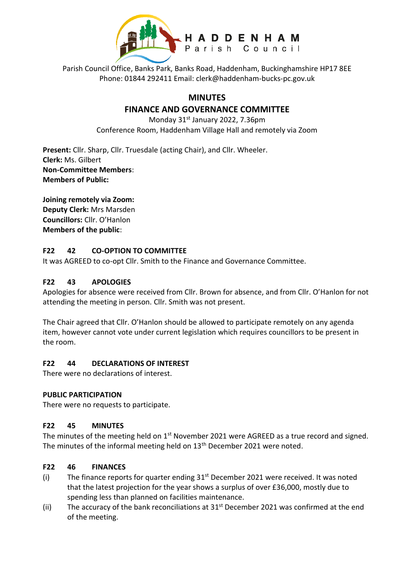

Parish Council Office, Banks Park, Banks Road, Haddenham, Buckinghamshire HP17 8EE Phone: 01844 292411 Email: clerk@haddenham-bucks-pc.gov.uk

# **MINUTES**

# **FINANCE AND GOVERNANCE COMMITTEE**

Monday 31<sup>st</sup> January 2022, 7.36pm Conference Room, Haddenham Village Hall and remotely via Zoom

**Present:** Cllr. Sharp, Cllr. Truesdale (acting Chair), and Cllr. Wheeler. **Clerk:** Ms. Gilbert **Non-Committee Members**: **Members of Public:**

**Joining remotely via Zoom: Deputy Clerk:** Mrs Marsden **Councillors:** Cllr. O'Hanlon **Members of the public**:

### **F22 42 CO-OPTION TO COMMITTEE**

It was AGREED to co-opt Cllr. Smith to the Finance and Governance Committee.

### **F22 43 APOLOGIES**

Apologies for absence were received from Cllr. Brown for absence, and from Cllr. O'Hanlon for not attending the meeting in person. Cllr. Smith was not present.

The Chair agreed that Cllr. O'Hanlon should be allowed to participate remotely on any agenda item, however cannot vote under current legislation which requires councillors to be present in the room.

#### **F22 44 DECLARATIONS OF INTEREST**

There were no declarations of interest.

#### **PUBLIC PARTICIPATION**

There were no requests to participate.

#### **F22 45 MINUTES**

The minutes of the meeting held on  $1<sup>st</sup>$  November 2021 were AGREED as a true record and signed. The minutes of the informal meeting held on 13<sup>th</sup> December 2021 were noted.

### **F22 46 FINANCES**

- (i) The finance reports for quarter ending  $31<sup>st</sup>$  December 2021 were received. It was noted that the latest projection for the year shows a surplus of over £36,000, mostly due to spending less than planned on facilities maintenance.
- (ii) The accuracy of the bank reconciliations at  $31<sup>st</sup>$  December 2021 was confirmed at the end of the meeting.